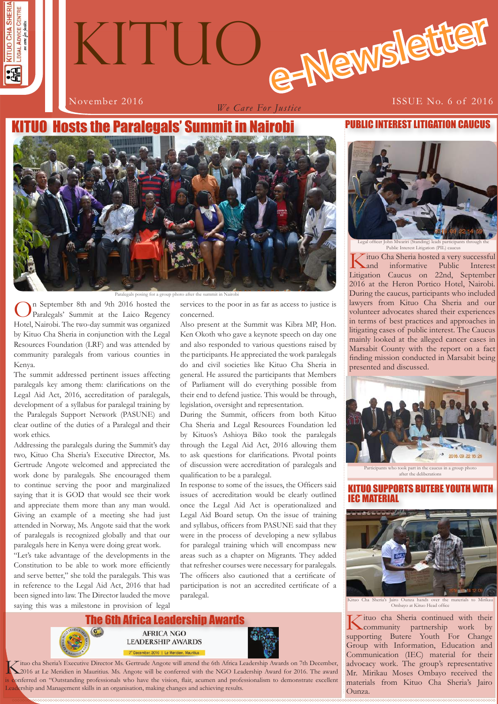

# e-Newslette **KITUO**

*We Care For Justice*

# November 2016 **ISSUE No. 6 of 2016**

# **Hosts the Paralegals' Summit**



Paralegals posing for a group photo after the

On September 8th and 9th 2016 hosted the Paralegals' Summit at the Laico Regency Hotel, Nairobi. The two-day summit was organized by Kituo Cha Sheria in conjunction with the Legal Resources Foundation (LRF) and was attended by community paralegals from various counties in Kenya.

The summit addressed pertinent issues affecting paralegals key among them: clarifications on the Legal Aid Act, 2016, accreditation of paralegals, development of a syllabus for paralegal training by the Paralegals Support Network (PASUNE) and clear outline of the duties of a Paralegal and their work ethics.

Addressing the paralegals during the Summit's day two, Kituo Cha Sheria's Executive Director, Ms. Gertrude Angote welcomed and appreciated the work done by paralegals. She encouraged them to continue serving the poor and marginalized saying that it is GOD that would see their work and appreciate them more than any man would. Giving an example of a meeting she had just attended in Norway, Ms. Angote said that the work of paralegals is recognized globally and that our paralegals here in Kenya were doing great work.

"Let's take advantage of the developments in the Constitution to be able to work more efficiently and serve better," she told the paralegals. This was in reference to the Legal Aid Act, 2016 that had been signed into law. The Director lauded the move saying this was a milestone in provision of legal services to the poor in as far as access to justice is concerned.

Also present at the Summit was Kibra MP, Hon. Ken Okoth who gave a keynote speech on day one and also responded to various questions raised by the participants. He appreciated the work paralegals do and civil societies like Kituo Cha Sheria in general. He assured the participants that Members of Parliament will do everything possible from their end to defend justice. This would be through, legislation, oversight and representation.

During the Summit, officers from both Kituo Cha Sheria and Legal Resources Foundation led by Kituos's Ashioya Biko took the paralegals through the Legal Aid Act, 2016 allowing them to ask questions for clarifications. Pivotal points of discussion were accreditation of paralegals and qualification to be a paralegal.

In response to some of the issues, the Officers said issues of accreditation would be clearly outlined once the Legal Aid Act is operationalized and Legal Aid Board setup. On the issue of training and syllabus, officers from PASUNE said that they were in the process of developing a new syllabus for paralegal training which will encompass new areas such as a chapter on Migrants. They added that refresher courses were necessary for paralegals. The officers also cautioned that a certificate of participation is not an accredited certificate of a paralegal.





Xituo cha Sheria's Executive Director Ms. Gertrude Angote will attend the 6th Africa Leadership Awards on 7th December,<br>2016 at Le Meridien in Mauritius. Ms. Angote will be conferred with the NGO Leadership Award for 2016. onferred on "Outstanding professionals who have the vision, flair, acumen and professionalism to demonstrate excellent Leadership and Management skills in an organisation, making changes and achieving results.

# PUBLIC INTEREST LITIGATION CAUCUS



Public Interest Litigation (PIL) cauc

Kituo Cha Sheria hosted a very successful<br>
and informative Public Interest informative Litigation Caucus on 22nd, September 2016 at the Heron Portico Hotel, Nairobi. During the caucus, participants who included lawyers from Kituo Cha Sheria and our volunteer advocates shared their experiences in terms of best practices and approaches in litigating cases of public interest. The Caucus mainly looked at the alleged cancer cases in Marsabit County with the report on a fact finding mission conducted in Marsabit being presented and discussed.



 $\frac{1}{2}$  after the deliberation

# KITUO SUPPORTS BUTERE YOUTH WIT IEC MATERIAL



Ombayo at Kituo Head office

**1 1** materials from Kituo Cha Sheria's Jairo Kituo cha Sheria continued with their community partnership work by supporting Butere Youth For Change Group with Information, Education and Communication (IEC) material for their advocacy work. The group's representative Mr. Mirikau Moses Ombayo received the Ounza.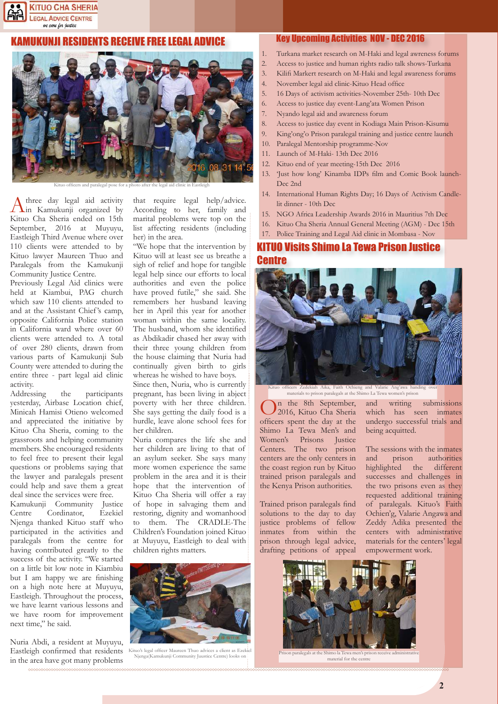

# KAMUKUNJI RESIDENTS RECEIVE FREE LEGAL ADVICE



Kituo officers and paralegal pose for a photo after the legal aid clinic in Eastleigh

A three day legal aid activity<br>In Kamukunji organized by Kituo Cha Sheria ended on 15th September, 2016 at Muyuyu, Eastleigh Third Avenue where over 110 clients were attended to by Kituo lawyer Maureen Thuo and Paralegals from the Kamukunji Community Justice Centre.

Previously Legal Aid clinics were held at Kiambui, PAG church which saw 110 clients attended to and at the Assistant Chief 's camp, opposite California Police station in California ward where over 60 clients were attended to. A total of over 280 clients, drawn from various parts of Kamukunji Sub County were attended to during the entire three - part legal aid clinic activity.

Addressing the participants yesterday, Airbase Location chief, Minicah Hamisi Otieno welcomed and appreciated the initiative by Kituo Cha Sheria, coming to the grassroots and helping community members. She encouraged residents to feel free to present their legal questions or problems saying that the lawyer and paralegals present could help and save them a great deal since the services were free.

Kamukunji Community Justice Centre Cordinator, Ezekiel Njenga thanked Kituo staff who participated in the activities and paralegals from the centre for having contributed greatly to the success of the activity. "We started on a little bit low note in Kiambiu but I am happy we are finishing on a high note here at Muyuyu, Eastleigh. Throughout the process, we have learnt various lessons and we have room for improvement next time," he said.

Nuria Abdi, a resident at Muyuyu, Eastleigh confirmed that residents in the area have got many problems

that require legal help/advice. According to her, family and marital problems were top on the list affecting residents (including her) in the area.

"We hope that the intervention by Kituo will at least see us breathe a sigh of relief and hope for tangible legal help since our efforts to local authorities and even the police have proved futile," she said. She remembers her husband leaving her in April this year for another woman within the same locality. The husband, whom she identified as Abdikadir chased her away with their three young children from the house claiming that Nuria had continually given birth to girls whereas he wished to have boys.

Since then, Nuria, who is currently pregnant, has been living in abject poverty with her three children. She says getting the daily food is a hurdle, leave alone school fees for her children.

Nuria compares the life she and her children are living to that of an asylum seeker. She says many more women experience the same problem in the area and it is their hope that the intervention of Kituo Cha Sheria will offer a ray of hope in salvaging them and restoring, dignity and womanhood to them. The CRADLE-The Children's Foundation joined Kituo at Muyuyu, Eastleigh to deal with children rights matters.



Kituo's legal officer Maureen Thuo advices a client as Ezekie Njenga(Kamukunji Community Juustice Centre) looks o

#### Key Upcoming Activities NOV - DEC 2016

- 1. Turkana market research on M-Haki and legal awreness forums
- 2. Access to justice and human rights radio talk shows-Turkana
- 3. Kilifi Markert research on M-Haki and legal awareness forums
- 4. November legal aid clinic-Kituo Head office
- 5. 16 Days of activism activities-November 25th- 10th Dec
- 6. Access to justice day event-Lang'ata Women Prison
- 7. Nyando legal aid and awareness forum
- 8. Access to justice day event in Kodiaga Main Prison-Kisumu
- 9. King'ong'o Prison paralegal training and justice centre launch
- 10. Paralegal Mentorship programme-Nov
- 11. Launch of M-Haki- 13th Dec 2016
- 12. Kituo end of year meeting-15th Dec 2016
- 13. 'Just how long' Kinamba IDPs film and Comic Book launch-Dec 2nd
- 14. International Human Rights Day; 16 Days of Activism Candlelit dinner - 10th Dec
- 15. NGO Africa Leadership Awards 2016 in Mauritius 7th Dec
- 16. Kituo Cha Sheria Annual General Meeting (AGM) Dec 15th
- 17. Police Training and Legal Aid clinic in Mombasa Nov

# KITUO Visits Shimo La Tewa Prison Justice Centre



Kituo officers Zedekiah Aika, Faith Ochieng and Valarie Ang'awa handing o materials to prison paralegals at the Shimo La Tewa women's prison

On the 8th September, 2016, Kituo Cha Sheria officers spent the day at the Shimo La Tewa Men's and Women's Prisons Justice Centers. The two prison centers are the only centers in the coast region run by Kituo trained prison paralegals and the Kenya Prison authorities.

Trained prison paralegals find solutions to the day to day justice problems of fellow inmates from within the prison through legal advice, drafting petitions of appeal and writing submissions which has seen inmates undergo successful trials and being acquitted.

The sessions with the inmates and prison authorities highlighted the different successes and challenges in the two prisons even as they requested additional training of paralegals. Kituo's Faith Ochien'g, Valarie Angawa and Zeddy Adika presented the centers with administrative materials for the centers' legal empowerment work.



Prison paralegals at the Shimo la Tewa men's pris material for the centre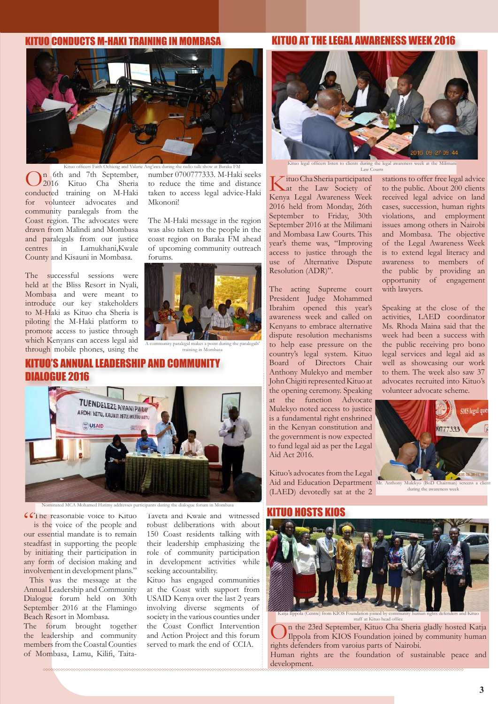# KITUO CONDUCTS M-HAKI TRAINING IN MOMBASA

### KITUO AT THE LEGAL AWARENESS WEEK 2016



Kituo officers Faith Ochieng and Valarie Ang'awa during the radio talk show at Baraka FM On 6th and 7th September, 2016 Kituo Cha Sheria conducted training on M-Haki for volunteer advocates and community paralegals from the Coast region. The advocates were drawn from Malindi and Mombasa and paralegals from our justice centres in Lamukhani,Kwale County and Kisauni in Mombasa.

The successful sessions were held at the Bliss Resort in Nyali, Mombasa and were meant to introduce our key stakeholders to M-Haki as Kituo cha Sheria is piloting the M-Haki platform to promote access to justice through which Kenyans can access legal aid through mobile phones, using the

number 0700777333. M-Haki seeks to reduce the time and distance taken to access legal advice-Haki Mkononi!

The M-Haki message in the region was also taken to the people in the coast region on Baraka FM ahead of upcoming community outreach forums.



A community paralegal makes a point during the paralegals' training in Mombasa

# KITUO'S ANNUAL LEADERSHIP AND COMMUNITY DIALOGUE 2016



**"The reasonable voice to Kituo** is the voice of the people and our essential mandate is to remain steadfast in supporting the people by initiating their participation in any form of decision making and involvement in development plans."

 This was the message at the Annual Leadership and Community Dialogue forum held on 30th September 2016 at the Flamingo Beach Resort in Mombasa.

The forum brought together the leadership and community members from the Coastal Counties of Mombasa, Lamu, Kilifi, Taita-

Taveta and Kwale and witnessed robust deliberations with about 150 Coast residents talking with their leadership emphasizing the role of community participation in development activities while seeking accountability.

Kituo has engaged communities at the Coast with support from USAID Kenya over the last 2 years involving diverse segments of society in the various counties under the Coast Conflict Intervention and Action Project and this forum served to mark the end of CCIA.



Kitus listen to compute the legal and legal and the legal articles were a to concern the legal and the Miliman<br>And the legal and the Milimanism were assembled and the Milimanism of the legal and the Milimanism were at the Law Courts

Kituo Cha Sheria participated at the Law Society of Kenya Legal Awareness Week 2016 held from Monday, 26th September to Friday, 30th September 2016 at the Milimani and Mombasa Law Courts. This year's theme was, "Improving access to justice through the use of Alternative Dispute Resolution (ADR)".

The acting Supreme court President Judge Mohammed Ibrahim opened this year's awareness week and called on Kenyans to embrace alternative dispute resolution mechanisms to help ease pressure on the country's legal system. Kituo Board of Directors Chair Anthony Mulekyo and member John Chigiti represented Kituo at the opening ceremony. Speaking at the function Advocate Mulekyo noted access to justice is a fundamental right enshrined in the Kenyan constitution and the government is now expected to fund legal aid as per the Legal Aid Act 2016.

Kituo's advocates from the Legal Aid and Education Department Mr. Anthony Mu (LAED) devotedly sat at the 2

stations to offer free legal advice to the public. About 200 clients received legal advice on land cases, succession, human rights violations, and employment issues among others in Nairobi and Mombasa. The objective of the Legal Awareness Week is to extend legal literacy and awareness to members of the public by providing an opportunity of engagement with lawyers.

Speaking at the close of the activities, LAED coordinator Ms. Rhoda Maina said that the week had been a success with the public receiving pro bono legal services and legal aid as well as showcasing our work to them. The week also saw 37 advocates recruited into Kituo's volunteer advocate scheme.



# KITUO HOSTS KIOS



taff at Kituo head off

n the 23rd September, Kituo Cha Sheria gladly hosted Katja Ilppola from KIOS Foundation joined by community human rights defenders from varoius parts of Nairobi. Human rights are the foundation of sustainable peace and development.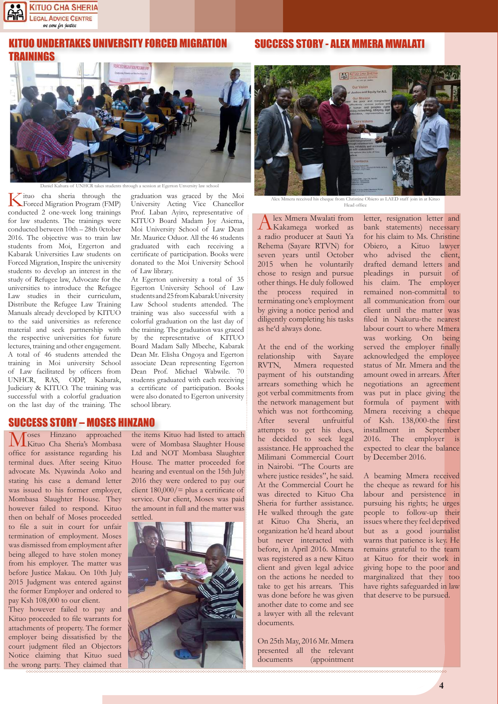

# I UNDERTAKES UNIVERSITY FORCED MIGRATION NINGS

n at Egerton Unversity law school

Kituo cha sheria through the Forced Migration Program (FMP) conducted 2 one-week long trainings for law students. The trainings were conducted between 10th – 28th 0ctober 2016. The objective was to train law students from Moi, Ergerton and Kabarak Universities Law students on Forced Migration, Inspire the university students to develop an interest in the study of Refugee law, Advocate for the universities to introduce the Refugee Law studies in their curriculum, Distribute the Refugee Law Training Manuals already developed by KITUO to the said universities as reference material and seek partnership with the respective universities for future lectures, training and other engagement. A total of 46 students attended the training in Moi university School of Law facilitated by officers from UNHCR, RAS, ODP, Kabarak, Judiciary & KITUO. The training was successful with a colorful graduation on the last day of the training. The

graduation was graced by the Moi University Acting Vice Chancellor Prof. Laban Ayiro, representative of KITUO Board Madam Joy Asiema, Moi University School of Law Dean Mr. Maurice Oduor. All the 46 students graduated with each receiving a certificate of participation. Books were donated to the Moi University School of Law library.

At Egerton university a total of 35 Egerton University School of Law students and 25 from Kabarak University Law School students attended. The training was also successful with a colorful graduation on the last day of the training. The graduation was graced by the representative of KITUO Board Madam Sally Mbeche, Kabarak Dean Mr. Elisha Ongoya and Egerton associate Dean representing Egerton Dean Prof. Michael Wabwile. 70 students graduated with each receiving a certificate of participation. Books were also donated to Egerton university school library.

# **SUCCESS STORY – MOSES HINZANO**<br>**N** *A* Oses Hinzano approached the item

Moses Hinzano approached Kituo Cha Sheria's Mombasa office for assistance regarding his terminal dues. After seeing Kituo advocate Ms. Nyawinda Aoko and stating his case a demand letter was issued to his former employer, Mombasa Slaughter House. They however failed to respond. Kituo then on behalf of Moses proceeded to file a suit in court for unfair termination of employment. Moses was dismissed from employment after being alleged to have stolen money from his employer. The matter was before Justice Makau. On 10th July 2015 Judgment was entered against the former Employer and ordered to pay Ksh 108,000 to our client.

They however failed to pay and Kituo proceeded to file warrants for attachments of property. The former employer being dissatisfied by the court judgment filed an Objectors Notice claiming that Kituo sued the wrong party. They claimed that the items Kituo had listed to attach were of Mombasa Slaughter House Ltd and NOT Mombasa Slaughter House. The matter proceeded for hearing and eventual on the 15th July 2016 they were ordered to pay our client  $180,000/$  = plus a certificate of service. Our client, Moses was paid the amount in full and the matter was settled.





SUCCESS STORY - ALEX MMERA MWALATI

Alex Mmera received his cheque from Christine Obiero as LAED staff join in at Kituo Head office

Alex Mmera Mwalati from Kakamega worked as a radio producer at Sauti Ya Rehema (Sayare RTVN) for seven years until October 2015 when he voluntarily chose to resign and pursue other things. He duly followed the process required in terminating one's employment by giving a notice period and diligently completing his tasks as he'd always done.

At the end of the working relationship with Sayare RVTN, Mmera requested payment of his outstanding arrears something which he got verbal commitments from the network management but which was not forthcoming. After several unfruitful attempts to get his dues, he decided to seek legal assistance. He approached the Milimani Commercial Court in Nairobi. "The Courts are where justice resides", he said. At the Commercial Court he was directed to Kituo Cha Sheria for further assistance. He walked through the gate at Kituo Cha Sheria, an organization he'd heard about but never interacted with before, in April 2016. Mmera was registered as a new Kituo client and given legal advice on the actions he needed to take to get his arrears. This was done before he was given another date to come and see a lawyer with all the relevant documents.

On 25th May, 2016 Mr. Mmera presented all the relevant documents (appointment letter, resignation letter and bank statements) necessary for his claim to Ms. Christine Obiero, a Kituo lawyer who advised the client, drafted demand letters and pleadings in pursuit of his claim. The employer remained non-committal to all communication from our client until the matter was filed in Nakuru-the nearest labour court to where Mmera was working. On being served the employer finally acknowledged the employee status of Mr. Mmera and the amount owed in arrears. After negotiations an agreement was put in place giving the formula of payment with Mmera receiving a cheque of Ksh. 138,000-the first installment in September 2016. The employer is expected to clear the balance by December 2016.

A beaming Mmera received the cheque as reward for his labour and persistence in pursuing his rights; he urges people to follow-up their issues where they feel deprived but as a good journalist warns that patience is key. He remains grateful to the team at Kituo for their work in giving hope to the poor and marginalized that they too have rights safeguarded in law that deserve to be pursued.